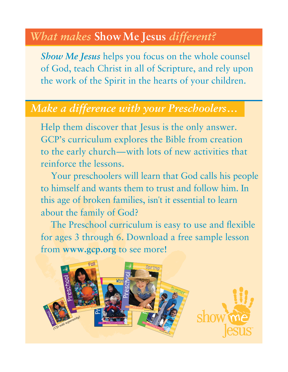## *What makes* **Show Me Jesus** *different?*

*Show Me Jesus* helps you focus on the whole counsel of God, teach Christ in all of Scripture, and rely upon the work of the Spirit in the hearts of your children.

## *Make a difference with your Preschoolers…*

Help them discover that Jesus is the only answer. GCP's curriculum explores the Bible from creation to the early church—with lots of new activities that reinforce the lessons.

Your preschoolers will learn that God calls his people to himself and wants them to trust and follow him. In this age of broken families, isn't it essential to learn about the family of God?

The Preschool curriculum is easy to use and flexible for ages 3 through 6. Download a free sample lesson from **www.gcp.org** to see more!

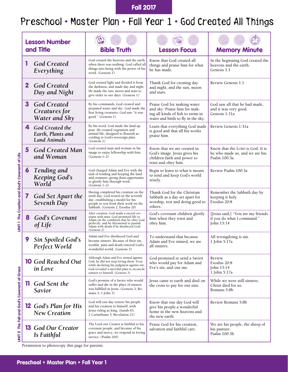Fall 2017

## Preschool • Master Plan • Fall Year 1 • God Created All Things

|                                                |              | <b>Lesson Number</b><br>and Title                           | <b>Bible Truth</b>                                                                                                                                                                                                        | <b>Lesson Focus</b>                                                                                                                   | <b>Memory Minute</b>                                                                |
|------------------------------------------------|--------------|-------------------------------------------------------------|---------------------------------------------------------------------------------------------------------------------------------------------------------------------------------------------------------------------------|---------------------------------------------------------------------------------------------------------------------------------------|-------------------------------------------------------------------------------------|
|                                                |              | <b>God Created</b><br>Everything                            | God created the heavens and the earth<br>when there was nothing. God called all<br>things into being with the power of his<br>word. (Genesis 1)                                                                           | Know that God created all<br>things and praise him for what<br>he has made.                                                           | In the beginning God created the<br>heavens and the earth.<br>Genesis 1:1           |
|                                                | $\mathbf{2}$ | <b>God Created</b><br>Day and Night                         | God created light and divided it from<br>the darkness, and made day and night.<br>He made the sun, moon and stars to<br>give order to our days. (Genesis 1)                                                               | Thank God for creating day<br>and night, and the sun, moon<br>and stars.                                                              | Review Genesis 1:1                                                                  |
|                                                | 3            | <b>God Created</b><br>Creatures for<br>Water and Sky        | By his commands, God created and<br>prepared water and sky. God made the<br>first living creatures. God saw "it was<br>good." (Genesis 1)                                                                                 | Praise God for making water<br>and sky. Praise him for mak-<br>ing all kinds of fish to swim in<br>water and birds to fly in the sky. | God saw all that he had made,<br>and it was very good.<br>Genesis 1:31a             |
|                                                | 4            | God Created the<br>Earth, Plants and<br><b>Land Animals</b> | By his word, God made the land ap-<br>pear. He created vegetation and<br>animal life, designed to flourish ac-<br>cording to God's sovereign plan.<br>(Genesis 1)                                                         | Learn that everything God made<br>is good and that all his works<br>praise him.                                                       | Review Genesis 1:31a                                                                |
|                                                | 5            | <b>God Created Man</b><br>and Woman                         | God created man and woman in his<br>image to enjoy fellowship with him.<br>(Genesis 1-2)                                                                                                                                  | Know that we are created in<br>God's image. Jesus gives his<br>children faith and power to<br>trust and obey him.                     | Know that the LORD is God. It is<br>he who made us, and we are his.<br>Psalm 100:3a |
| UNIT 1 The Creation and God's Covenant of Life | 6            | Tending and<br><b>Keeping God's</b><br>World                | God charged Adam and Eve with the<br>task of tending and keeping the land<br>and creatures, giving them opportunity<br>to glorify him through work.<br>$(Genesis 1-2)$                                                    | Begin to learn to what it means<br>to tend and keep God's world<br>wisely.                                                            | Review Psalm 100:3a                                                                 |
|                                                | 7            | God Set Apart the<br>Seventh Day                            | Having completed his creation on the<br>sixth day, God rested on the seventh<br>day, establishing a model for his<br>people to rest from their work on the<br>Sabbath. (Genesis 2; Exodus 20)                             | Thank God for the Christian<br>Sabbath as a day set apart for<br>worship, rest and doing good to<br>others.                           | Remember the Sabbath day by<br>keeping it holy.<br>Exodus 20:8                      |
|                                                | 8            | <b>God's Covenant</b><br>of Life                            | After creation, God made a sacred cov-<br>enant with man: God promised life to<br>Adam on the condition that he obey God<br>perfectly, and he threatened to punish<br>Adam with death if he disobeyed God.<br>(Genesis 2) | God's covenant children glorify<br>him when they trust and<br>obey him.                                                               | [Jesus said,] "You are my friends<br>if you do what I command."<br>John 15:14       |
|                                                | 9            | Sin Spoiled God's<br>Perfect World                          | Adam and Eve disobeyed God and<br>became sinners. Because of their sin,<br>trouble, pain and death entered God's<br>wonderful world. (Genesis 3)                                                                          | To understand that because<br>Adam and Eve sinned, we are<br>all sinners.                                                             | All wrongdoing is sin.<br>1 John 5:17a                                              |
|                                                |              | <b>10</b> God Reached Out<br>in Love                        | Although Adam and Eve sinned against<br>God, he did not stop loving them. Even<br>while declaring his judgment against sin,<br>God revealed a merciful plan to reconcile<br>sinners to himself. (Genesis 3)               | God promised to send a Savior<br>who would pay for Adam and<br>Eve's sin, and our sin.                                                | Review<br>Exodus 20:8<br>John 15:14<br>1 John 5:17a                                 |
|                                                | 11           | God Sent the<br><b>Savior</b>                               | God's promise of a Savior who would<br>suffer and die in the place of sinners<br>was fulfilled in Jesus. (Genesis 3; Ro-<br>mans 5; 1 John 3)                                                                             | Jesus came to earth and died on<br>the cross to pay for our sins.                                                                     | While we were still sinners,<br>Christ died for us.<br>Romans 5:8b                  |
|                                                |              | <b>12</b> God's Plan for His<br><b>New Creation</b>         | God will one day restore his people<br>and his creation to himself, with<br>Jesus ruling as king. (Isaiah 65;<br>2 Corinthians 5; Revelation 21)                                                                          | Know that one day God will<br>give his people a wonderful<br>home in the new heavens and<br>the new earth.                            | Review Romans 5:8b                                                                  |
| UNIT 2 The Fall and God's Covenant of Grace    |              | <b>13</b> God Our Creator<br>Is Faithful                    | The Lord our Creator is faithful to his<br>covenant people, and because of his<br>grace and mercy, we respond in loving<br>service. (Psalm 100)                                                                           | Praise God for his creation,<br>salvation and faithful care.                                                                          | We are his people, the sheep of<br>his pasture.<br>Psalm 100:3b                     |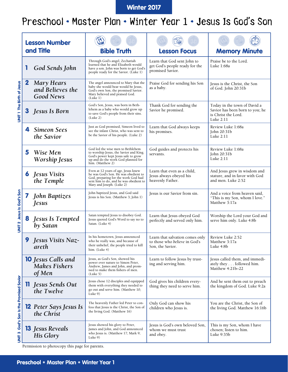#### Winter 2017

## Preschool • Master Plan • Winter Year 1 • Jesus Is God's Son

|                                         |             | <b>Lesson Number</b>                                        |                                                                                                                                                                                           |                                                                                      |                                                                                                     |
|-----------------------------------------|-------------|-------------------------------------------------------------|-------------------------------------------------------------------------------------------------------------------------------------------------------------------------------------------|--------------------------------------------------------------------------------------|-----------------------------------------------------------------------------------------------------|
|                                         |             | and Title                                                   | <b>Bible Truth</b>                                                                                                                                                                        | <b>Lesson Focus</b>                                                                  | <b>Memory Minute</b>                                                                                |
|                                         | 1           | God Sends John                                              | Through God's angel, Zechariah<br>learned that he and Elizabeth would<br>have a son. John was born to get God's<br>people ready for the Savior. (Luke 1)                                  | Learn that God sent John to<br>get God's people ready for the<br>promised Savior.    | Praise be to the Lord.<br>Luke 1:68a                                                                |
|                                         | $\mathbf 2$ | <b>Mary Hears</b><br>and Believes the<br><b>Good News</b>   | The angel announced to Mary that the<br>baby she would bear would be Jesus,<br>God's own Son, the promised Savior.<br>Mary believed and praised God.<br>(Luke 1)                          | Praise God for sending his Son<br>as a baby.                                         | Jesus is the Christ, the Son<br>of God. John 20:31b                                                 |
| UNIT The Birth of Jesus                 |             | Jesus Is Born                                               | God's Son, Jesus, was born in Beth-<br>lehem as a baby who would grow up<br>to save God's people from their sins.<br>(Luke 2)                                                             | Thank God for sending the<br>Savior he promised.                                     | Today in the town of David a<br>Savior has been born to you; he<br>is Christ the Lord.<br>Luke 2:11 |
|                                         | 4           | <b>Simeon Sees</b><br>the Savior                            | Just as God promised, Simeon lived to<br>see the infant Christ, who was sent to<br>be the Savior of his people. (Luke 2)                                                                  | Learn that God always keeps<br>his promises.                                         | Review Luke 1:68a<br>John 20:31b<br>Luke 2:11                                                       |
|                                         | 5           | Wise Men<br>Worship Jesus                                   | God led the wise men to Bethlehem<br>to worship Jesus, the Savior and King.<br>God's power kept Jesus safe to grow<br>up and do the work God planned for<br>him. (Matthew 2)              | God guides and protects his<br>servants.                                             | Review Luke 1:68a<br>John 20:31b<br>Luke 2:11                                                       |
|                                         | 6           | <b>Jesus Visits</b><br>the Temple                           | Even at 12 years of age, Jesus knew<br>he was God's Son. He was obedient to<br>God, preparing for the work God had<br>sent him to do, and he was obedient to<br>Mary and Joseph. (Luke 2) | Learn that even as a child,<br>Jesus always obeyed his<br>heavenly Father.           | And Jesus grew in wisdom and<br>stature, and in favor with God<br>and men. Luke 2:52                |
|                                         |             | <b>John Baptizes</b><br><i>Jesus</i>                        | John baptized Jesus, and God said<br>Jesus is his Son. (Matthew 3; John 1)                                                                                                                | Jesus is our Savior from sin.                                                        | And a voice from heaven said,<br>"This is my Son, whom I love."<br>Matthew 3:17a                    |
| UNIT 2 Jesus Is God's Son               |             | <b>Jesus Is Tempted</b><br>by Satan                         | Satan tempted Jesus to disobey God.<br>Jesus quoted God's Word to say no to<br>Satan. (Luke 4)                                                                                            | Learn that Jesus obeyed God<br>perfectly and served only him.                        | Worship the Lord your God and<br>serve him only. Luke 4:8b                                          |
|                                         | 9           | Jesus Visits Naz-<br>areth                                  | In his hometown, Jesus announced<br>who he really was, and because of<br>their unbelief, the people tried to kill<br>him. (Luke 4)                                                        | Learn that salvation comes only<br>to those who believe in God's<br>Son, the Savior. | Review Luke 2:52<br>Matthew 3:17a<br>Luke 4:8b                                                      |
|                                         |             | <b>10</b> Jesus Calls and<br><b>Makes Fishers</b><br>of Men | Jesus, as God's Son, showed his<br>power over nature to Simon Peter,<br>Andrew, James and John, and prom-<br>ised to make them fishers of men.<br>(Luke 5)                                | Learn to follow Jesus by trust-<br>ing and serving him.                              | Jesus called them, and immedi-<br>ately they followed him.<br>Matthew 4:21b-22                      |
|                                         |             | Jesus Sends Out<br>the Twelve                               | Jesus chose 12 disciples and equipped<br>them with everything they needed to<br>go out and serve him. (Matthew 10;<br>Luke 9)                                                             | God gives his children every-<br>thing they need to serve him.                       | And he sent them out to preach<br>the kingdom of God. Luke 9:2a                                     |
| UNIT 3 God's Son Is the Promised Savior |             | <b>12</b> Peter Says Jesus Is<br>the Christ                 | The heavenly Father led Peter to con-<br>fess that Jesus is the Christ, the Son of<br>the living God. (Matthew 16)                                                                        | Only God can show his<br>children who Jesus is.                                      | You are the Christ, the Son of<br>the living God. Matthew 16:16b                                    |
|                                         |             | <b>13</b> Jesus Reveals<br>His Glory                        | Jesus showed his glory to Peter,<br>James and John, and God announced<br>who Jesus is. (Matthew 17; Mark 9;<br>Luke 9)                                                                    | Jesus is God's own beloved Son,<br>whom we must trust<br>and obey.                   | This is my Son, whom I have<br>chosen; listen to him.<br>Luke 9:35b                                 |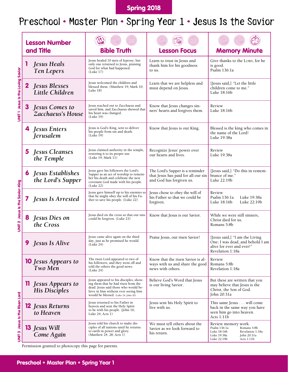### Spring 2018

## Preschool • Master Plan • Spring Year 1 • Jesus Is the Savior

|                                   | <b>Lesson Number</b><br>and Title                       | <b>Bible Truth</b>                                                                                                                                                                                    | <b>Lesson Focus</b>                                                                                | <b>Memory Minute</b>                                                                                                                             |
|-----------------------------------|---------------------------------------------------------|-------------------------------------------------------------------------------------------------------------------------------------------------------------------------------------------------------|----------------------------------------------------------------------------------------------------|--------------------------------------------------------------------------------------------------------------------------------------------------|
|                                   |                                                         |                                                                                                                                                                                                       |                                                                                                    |                                                                                                                                                  |
| UNIT 1 Jesus Is the Loving Savior | <b>Jesus Heals</b><br>Ten Lepers                        | Jesus healed 10 men of leprosy, but<br>only one returned to Jesus, praising<br>God for what had happened.<br>(Luke 17)                                                                                | Learn to trust in Jesus and<br>thank him for his goodness<br>to us.                                | Give thanks to the LORD, for he<br>is good.<br>Psalm 136:1a                                                                                      |
|                                   | <b>Jesus Blesses</b><br>$\mathbf{2}$<br>Little Children | Jesus welcomed the children and<br>blessed them. (Matthew 19; Mark 10;<br>Luke $18)$                                                                                                                  | Learn that we are helpless and<br>must depend on Jesus.                                            | [Jesus said,] "Let the little<br>children come to me."<br>Luke 18:16b                                                                            |
|                                   | 3<br><b>Jesus Comes to</b><br>Zacchaeus's House         | Jesus reached out to Zacchaeus and<br>saved him, and Zacchaeus showed that<br>his heart was changed.<br>(Luke 19)                                                                                     | Know that Jesus changes sin-<br>ners' hearts and forgives them.                                    | Review<br>Luke 18:16b                                                                                                                            |
|                                   | <b>Jesus Enters</b><br>Jerusalem                        | Jesus is God's King, sent to deliver<br>his people from sin and death.<br>(Luke 19)                                                                                                                   | Know that Jesus is our King.                                                                       | Blessed is the king who comes in<br>the name of the Lord!<br>Luke 19:38a                                                                         |
|                                   | Jesus Cleanses<br>5<br>the Temple                       | Jesus claimed authority in the temple,<br>restoring it to its proper use.<br>(Luke 19; Mark 11)                                                                                                       | Recognize Jesus' power over<br>our hearts and lives.                                               | Review<br>Luke 19:38a                                                                                                                            |
|                                   | <b>Jesus Establishes</b><br>the Lord's Supper           | Jesus gave his followers the Lord's<br>Supper as an act of worship to remem-<br>ber his death and celebrate the new<br>covenant God made with his people.<br>(Luke 22)                                | The Lord's Supper is a reminder<br>that Jesus has paid for all our sin<br>and God has forgiven us. | [Jesus said,] "Do this in remem-<br>brance of me."<br>Luke 22:19b                                                                                |
|                                   | <b>Jesus Is Arrested</b>                                | Jesus gave himself up to his enemies so<br>that he might obey the will of his Fa-<br>ther to save his people. (Luke 22)                                                                               | Jesus chose to obey the will of<br>his Father so that we could be<br>forgiven.                     | Review<br>Psalm 136:1a<br>Luke 19:38a<br>Luke 18:16b<br>Luke 22:19b                                                                              |
| UNIT 2 Jesus Is the Savior-King   | Jesus Dies on<br>8<br>the Cross                         | Jesus died on the cross so that our sins<br>could be forgiven. (Luke 23)                                                                                                                              | Know that Jesus is our Savior.                                                                     | While we were still sinners,<br>Christ died for us.<br>Romans 5:8b                                                                               |
|                                   | <b>9</b> Jesus Is Alive                                 | Jesus came alive again on the third<br>day, just as he promised he would.<br>(Luke 24)                                                                                                                | Praise Jesus, our risen Savior!                                                                    | [Jesus said,] "I am the Living<br>One; I was dead, and behold I am<br>alive for ever and ever!"<br>Revelation 1:18a                              |
|                                   | <b>10</b> Jesus Appears to<br>Two Men                   | The risen Lord appeared to two of<br>his followers, and they went off and<br>told the others the good news.<br>(Luke 24)                                                                              | Know that the risen Savior is al-<br>ways with us and share the good<br>news with others.          | Review<br>Romans 5:8b<br>Revelation 1:18a                                                                                                        |
| UNIT 3 Jesus Is the Risen Lord    | <b>11</b> Jesus Appears to<br>His Disciples             | Jesus appeared to his disciples, show-<br>ing them that he had risen from the<br>dead. Jesus said those who would be-<br>lieve in him without ever seeing him<br>would be blessed. (Luke 24; John 20) | Believe God's Word that Jesus<br>is our living Savior.                                             | But these are written that you<br>may believe that Jesus is the<br>Christ, the Son of God.<br>John 20:31a                                        |
|                                   | <b>12</b> Jesus Returns<br>to Heaven                    | Jesus returned to his Father in<br>heaven and sent the Holy Spirit<br>to be with his people. (John 16;<br>Luke $24$ ; Acts $1)$                                                                       | Jesus sent his Holy Spirit to<br>live with us.                                                     | This same Jesus will come<br>back in the same way you have<br>seen him go into heaven.<br>Acts 1:11b                                             |
|                                   | <b>13</b> Jesus Will<br>Come Again                      | Jesus told his church to make dis-<br>ciples of all nations until he returns<br>to earth in power and glory.<br>(Matthew 24, 28; Acts 1)                                                              | We must tell others about the<br>Savior as we look forward to<br>his return.                       | Review memory work.<br>Psalm 136:1a<br>Romans 5:8b<br>Luke 18:16b<br>Revelation 1:18a<br>Luke 19:38a<br>John 20:31a<br>Luke 22:19b<br>Acts 1:11b |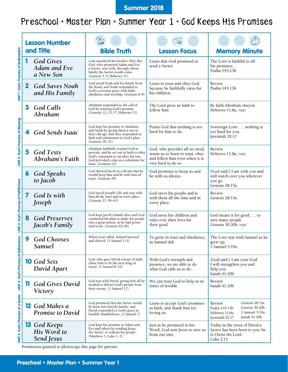#### Summer 2018

### Preschool • Master Plan • Summer Year 1 • God Keeps His Promises

|                                      | <b>Lesson Number</b> |                                                  |                                                                                                                                                                                       |                                                                                                                             |                                                                                                                                   |
|--------------------------------------|----------------------|--------------------------------------------------|---------------------------------------------------------------------------------------------------------------------------------------------------------------------------------------|-----------------------------------------------------------------------------------------------------------------------------|-----------------------------------------------------------------------------------------------------------------------------------|
|                                      |                      | and Title                                        | <b>Bible Truth</b>                                                                                                                                                                    | <b>Lesson Focus</b>                                                                                                         | <b>Memory Minute</b>                                                                                                              |
| UNIT 1 God's Promise of Redemption   | 1                    | <b>God Gives</b><br>Adam and Eve<br>a New Son    | Cain murdered his brother Abel. But<br>God, who promised Adam and Eve<br>a Savior, sent Seth, through whose<br>family the Savior would come.<br>(Genesis 3; 4; Hebrews 11)            | Learn that God promised to<br>send a Savior.                                                                                | The LORD is faithful to all<br>his promises.<br>Psalm 145:13b                                                                     |
|                                      | $\mathbf{2}$         | <b>God Saves Noah</b><br>and His Family          | God saved Noah and his family from<br>the flood, and Noah responded to<br>God's covenant grace with faith,<br>obedience and worship. (Genesis 6-9)                                    | Learn to trust and obey God<br>because he faithfully cares for<br>his children.                                             | Review<br>Psalm 145:13b                                                                                                           |
|                                      | 3                    | God Calls<br>Abraham                             | Abraham responded to the call of<br>God by trusting God's promise.<br>(Genesis 12; 15; 17; Hebrews 11)                                                                                | The Lord gives us faith to<br>follow him.                                                                                   | By faith Abraham obeyed.<br>Hebrews 11:8a, NKJV                                                                                   |
| UNIT 2 God's Promise of Blessing     |                      | <b>God Sends Isaac</b>                           | God kept his promise to Abraham<br>and Sarah by giving them a son in<br>their old age, and they responded in<br>faith and submission to God's plan.<br>(Genesis 18; 21)               | Praise God that nothing is too<br>hard for him to do.                                                                       | Sovereign LORD nothing is<br>too hard for you.<br>Jeremiah 32:17                                                                  |
|                                      | 5                    | <b>God Tests</b><br>Abraham's Faith              | Abraham faithfully trusted God to<br>provide, and he set out in faith to obey<br>God's command to sacrifice his son.<br>God provided a ram as a substitute for<br>Isaac. (Genesis 22) | God, who provides all we need,<br>wants us to learn to trust, obey<br>and follow him even when it is<br>very hard to do so. | Review<br>Hebrews 11:8a, NKJV                                                                                                     |
|                                      | 6                    | <b>God Speaks</b><br>to Jacob                    | God showed Jacob in a dream that he<br>would keep him and be with him al-<br>ways. (Genesis 28)                                                                                       | God promises to keep us and<br>be with us always.                                                                           | [God said,] I am with you and<br>will watch over you wherever<br>you go.<br>Genesis 28:15a                                        |
|                                      | 7                    | God Is with<br>Joseph                            | God saved Joseph's life and was with<br>him all the time and in every place.<br>(Genesis 37; 39-41)                                                                                   | God saves his people and is<br>with them all the time and in<br>every place.                                                | Review<br>Genesis 28:15a                                                                                                          |
| UNIT 3 God's Promise of Faithfulness | 8                    | <b>God Preserves</b><br>Jacob's Family           | God kept Jacob's family alive and God<br>continued his plan to make his people<br>into a great nation, as he had prom-<br>ised to do. (Genesis 42-50)                                 | God saves his children and<br>rules over their lives for<br>their good.                                                     | God meant it for good to<br>save many people.<br>Genesis 50:20b, NKJV                                                             |
| nce                                  | 9                    | <b>God Chooses</b><br><b>Samuel</b>              | When God called, Samuel listened<br>and obeved. (1 Samuel 1–3)                                                                                                                        | To grow in trust and obedience,<br>as Samuel did.                                                                           | The LORD was with Samuel as he<br>grew up.<br>1 Samuel 3:19a                                                                      |
| UNIT 4 God's Promise of Delivera     |                      | <b>10</b> God Sets<br>David Apart                | God, who gave David a heart of faith,<br>chose him to be the next king of<br>Israel. (1 Samuel 8; 16)                                                                                 | With God's strength and<br>presence, we are able to do<br>what God calls us to do.                                          | [God said,] I am your God.<br>I will strengthen you and<br>help you.<br>Isaiah 41:10b                                             |
|                                      | IJ                   | <b>God Gives David</b><br>Victory                | God was with David, giving him all he<br>needed to deliver God's people from<br>their enemy. (1 Samuel 17)                                                                            | We can trust God to help us in<br>times of trouble.                                                                         | Review<br>Isaiah 41:10b                                                                                                           |
|                                      |                      | <b>12</b> God Makes a<br><b>Promise to David</b> | God promised that the Savior would<br>be born into David's family, and<br>David responded to God's grace in<br>humble thankfulness. (2 Samuel 7)                                      | Learn to accept God's promises<br>in faith, and thank him for<br>loving us.                                                 | Genesis 28:15a<br>Review<br>Genesis 50:20b<br>Psalm 145:13b<br>1 Samuel 3:19a<br>Hebrews 11:8a<br>Isaiah 41:10b<br>Jeremiah 32:17 |
| UNIT 5 God's Promise of a Savior     |                      | <b>13</b> God Keeps<br>His Word to<br>Send Jesus | God kept his promise to Adam and<br>Eve and others by sending Jesus,<br>the Savior, to redeem his people.<br>(Matthew $1$ ; Luke $1$ ; 2)                                             | Just as he promised in his<br>Word, God sent Jesus to save us<br>from our sins.                                             | Today in the town of David a<br>Savior has been born to you; he<br>is Christ the Lord.<br>Luke 2:11                               |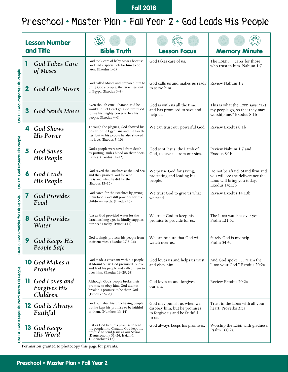#### Fall 2018

## Preschool • Master Plan • Fall Year 2 • God Leads His People

|                                             | <b>Lesson Number</b> |                                                  |                                                                                                                                                                            |                                                                                                      |                                                                                                                     |
|---------------------------------------------|----------------------|--------------------------------------------------|----------------------------------------------------------------------------------------------------------------------------------------------------------------------------|------------------------------------------------------------------------------------------------------|---------------------------------------------------------------------------------------------------------------------|
|                                             |                      | and Title                                        | <b>Bible Truth</b>                                                                                                                                                         | <b>Lesson Focus</b>                                                                                  | <b>Memory Minute</b>                                                                                                |
|                                             | 1                    | <b>God Takes Care</b><br>of Moses                | God took care of baby Moses because<br>God had a special job for him to do<br>later. (Exodus 1-2)                                                                          | God takes care of us.                                                                                | The LORD cares for those<br>who trust in him. Nahum 1:7                                                             |
| <b>UNIT 1 God Prepares His People</b>       | $\mathbf{2}$         | <b>God Calls Moses</b>                           | God called Moses and prepared him to<br>bring God's people, the Israelites, out<br>of Egypt. (Exodus 3-4)                                                                  | God calls us and makes us ready<br>to serve him.                                                     | Review Nahum 1:7                                                                                                    |
|                                             |                      | <b>God Sends Moses</b>                           | Even though cruel Pharaoh said he<br>would not let Israel go, God promised<br>to use his mighty power to free his<br>people. (Exodus 4-6)                                  | God is with us all the time<br>and has promised to save and<br>help us.                              | This is what the LORD says: "Let<br>my people go, so that they may<br>worship me." Exodus 8:1b                      |
|                                             |                      | <b>God Shows</b><br><b>His Power</b>             | Through the plagues, God showed his<br>power to the Egyptians and the Israel-<br>ites, but to his people he also showed<br>his love. (Exodus 7-10)                         | We can trust our powerful God.                                                                       | Review Exodus 8:1b                                                                                                  |
|                                             | 5                    | <b>God Saves</b><br>His People                   | God's people were saved from death<br>by putting lamb's blood on their door-<br>frames. (Exodus 11-12)                                                                     | God sent Jesus, the Lamb of<br>God, to save us from our sins.                                        | Review Nahum 1:7 and<br>Exodus 8:1b                                                                                 |
| <b>UNIT 2 God Protects His People</b>       | 6                    | God Leads<br>His People                          | God saved the Israelites at the Red Sea,<br>and they praised God for who<br>he is and what he did for them.<br>(Exodus 13-15)                                              | We praise God for saving,<br>protecting and leading his<br>people.                                   | Do not be afraid. Stand firm and<br>you will see the deliverance the<br>LORD will bring you today.<br>Exodus 14:13b |
|                                             | 7                    | <b>God Provides</b><br>Food                      | God cared for the Israelites by giving<br>them food. God still provides for his<br>children's needs. (Exodus 16)                                                           | We trust God to give us what<br>we need.                                                             | Review Exodus 14:13b                                                                                                |
| God Provides for His People                 | 8                    | <b>God Provides</b><br>Water                     | Just as God provided water for the<br>Israelites long ago, he kindly supplies<br>our needs today. (Exodus 17)                                                              | We trust God to keep his<br>promise to provide for us.                                               | The LORD watches over you.<br>Psalm 121:5a                                                                          |
| <b>UNIT3</b>                                | 9                    | <b>God Keeps His</b><br>People Safe              | God lovingly protects his people from<br>their enemies. (Exodus 17:8-16)                                                                                                   | We can be sure that God will<br>watch over us.                                                       | Surely God is my help.<br>Psalm 54:4a                                                                               |
|                                             |                      | <b>10</b> God Makes a<br>Promise                 | God made a covenant with his people<br>at Mount Sinai: God promised to love<br>and lead his people and called them to<br>obey him. (Exodus 19-20, 24)                      | God loves us and helps us trust<br>and obey him.                                                     | And God spoke "I am the<br>LORD your God." Exodus 20:2a                                                             |
|                                             | $\mathbf{J}$         | God Loves and<br><b>Forgives His</b><br>Children | Although God's people broke their<br>promise to obey him, God did not<br>break his promise to be their God.<br>(Exodus 32-34)                                              | God loves us and forgives<br>our sin.                                                                | Review Exodus 20:2a                                                                                                 |
| UNIT 4 God Keeps His Promises to His People |                      | <b>12</b> God Is Always<br>Faithful              | God punished his unbelieving people,<br>but he kept his promise to be faithful<br>to them. (Numbers 13-14)                                                                 | God may punish us when we<br>disobey him, but he promises<br>to forgive us and be faithful<br>to us. | Trust in the LORD with all your<br>heart. Proverbs 3:5a                                                             |
|                                             |                      | <b>13</b> God Keeps<br>His Word                  | Just as God kept his promise to lead<br>his people into Canaan, God kept his<br>promise to send Jesus as our Savior.<br>(Deuteronomy 31–34; Isaiah 6;<br>1 Corinthians 15) | God always keeps his promises.                                                                       | Worship the LORD with gladness.<br>Psalm 100:2a                                                                     |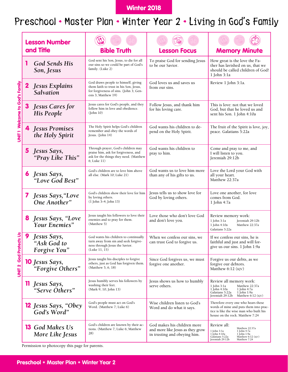### Winter 2018

# Preschool • Master Plan • Winter Year 2 • Living in God's Family

|                                |              | <b>Lesson Number</b>                       |                                                                                                                                                |                                                                                                 |                                                                                                                                                                        |
|--------------------------------|--------------|--------------------------------------------|------------------------------------------------------------------------------------------------------------------------------------------------|-------------------------------------------------------------------------------------------------|------------------------------------------------------------------------------------------------------------------------------------------------------------------------|
|                                |              | and Title                                  | <b>Bible Truth</b>                                                                                                                             | <b>Lesson Focus</b>                                                                             | <b>Memory Minute</b>                                                                                                                                                   |
|                                |              | <b>God Sends His</b><br>Son, Jesus         | God sent his Son, Jesus, to die for all<br>our sins so we could be part of God's<br>family. (Luke 2)                                           | To praise God for sending Jesus<br>to be our Savior.                                            | How great is the love the Fa-<br>ther has lavished on us, that we<br>should be called children of God!<br>1 John 3:1a                                                  |
|                                | $\mathbf{z}$ | Jesus Explains<br>Salvation                | God draws people to himself, giving<br>them faith to trust in his Son, Jesus,<br>for forgiveness of sins. (John 3; Gen-<br>esis 3; Matthew 19) | God loves us and saves us<br>from our sins.                                                     | Review 1 John 3:1a.                                                                                                                                                    |
| UNIT 1 Welcome to God's Family |              | Jesus Cares for<br>His People              | Jesus cares for God's people, and they<br>follow him in love and obedience.<br>(John 10)                                                       | Follow Jesus, and thank him<br>for his loving care.                                             | This is love: not that we loved<br>God, but that he loved us and<br>sent his Son. 1 John 4:10a                                                                         |
|                                |              | 4 Jesus Promises<br>the Holy Spirit        | The Holy Spirit helps God's children<br>remember and obey the words of<br>Jesus. (John 14)                                                     | God wants his children to de-<br>pend on the Holy Spirit.                                       | The fruit of the Spirit is love, joy,<br>peace. Galatians 5:22a                                                                                                        |
|                                | 5.           | Jesus Says,<br>"Pray Like This"            | Through prayer, God's children may<br>praise him, ask for forgiveness, and<br>ask for the things they need. (Matthew<br>6; Luke 11)            | God wants his children to<br>pray to him.                                                       | Come and pray to me, and<br>I will listen to you.<br>Jeremiah 29:12b                                                                                                   |
|                                | 6            | Jesus Says,<br>"Love God Best"             | God's children are to love him above<br>all else. (Mark 10; Luke 21)                                                                           | God wants us to love him more<br>than any of his gifts to us.                                   | Love the Lord your God with<br>all your heart.<br>Matthew 22:37a                                                                                                       |
|                                | $\mathbf{7}$ | Jesus Says, "Love<br>One Another"          | God's children show their love for him<br>by loving others.<br>$(1$ John 3–4; John 13)                                                         | Jesus tells us to show love for<br>God by loving others.                                        | Love one another, for love<br>comes from God.<br>1 John 4:7a                                                                                                           |
|                                | 8            | Jesus Says, "Love<br>Your Enemies"         | Jesus taught his followers to love their<br>enemies and to pray for them.<br>(Matthew 5)                                                       | Love those who don't love God<br>and don't love you.                                            | Review memory work:<br>1 John 3:1a<br>Jeremiah 29:12b<br>1 John 4:10a<br>Matthew 22:37a<br>Galatians 5:22a                                                             |
| <b>UNIT 2 God Protects Us</b>  | 9            | Jesus Says,<br>"Ask God to<br>Forgive You" | God wants his children to continually<br>turn away from sin and seek forgive-<br>ness through Jesus the Savior.<br>(Luke 11, 15)               | When we confess our sins, we<br>can trust God to forgive us.                                    | If we confess our sins, he is<br>faithful and just and will for-<br>give us our sins. 1 John 1:9a                                                                      |
|                                |              | <b>10</b> Jesus Says,<br>"Forgive Others"  | Jesus taught his disciples to forgive<br>others, just as God has forgiven them.<br>(Matthew 5, 6, 18)                                          | Since God forgives us, we must<br>forgive one another.                                          | Forgive us our debts, as we<br>forgive our debtors.<br>Matthew 6:12 (KJV)                                                                                              |
|                                |              | <b>11</b> Jesus Says,<br>"Serve Others"    | Jesus humbly serves his followers by<br>washing their feet.<br>(Mark 9, 10; John 13)                                                           | Jesus shows us how to humbly<br>serve others.                                                   | Review all memory work:<br>1 John 3:1a<br>Matthew 22:37a<br>1 John 4:10a<br>1 John 4:7a<br>Galatians 5:22a<br>1 John 1:9a<br>Jeremiah 29:12b<br>Matthew 6:12 (KJV)     |
|                                |              | <b>12</b> Jesus Says, "Obey<br>God's Word" | God's people must act on God's<br>Word. (Matthew 7; Luke 6)                                                                                    | Wise children listen to God's<br>Word and do what it says.                                      | Therefore every one who hears these<br>words of mine and puts them into prac-<br>tice is like the wise man who built his<br>house on the rock. Matthew 7:24            |
|                                |              | <b>13</b> God Makes Us<br>More Like Jesus  | God's children are known by their ac-<br>tions. (Matthew 7; Luke 6; Matthew<br>28)                                                             | God makes his children more<br>and more like Jesus as they grow<br>in trusting and obeying him. | Review all:<br>Matthew 22:37a<br>1 John 3:1a<br>1 John 4:7a<br>1 John 4:10a<br>1 John 1:9a<br>Galatians 5:22a<br>Matthew 6:12 (KJV)<br>Jeremiah 29:12b<br>Matthew 7:24 |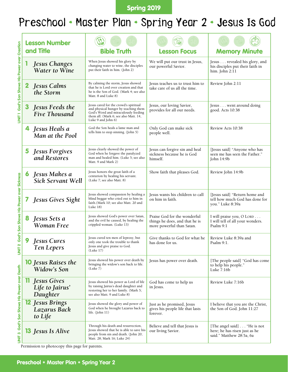#### Spring 2019

# Preschool • Master Plan • Spring Year 2 • Jesus Is God

|                                                |   | <b>Lesson Number</b>                              |                                                                                                                                                                                     |                                                                                             |                                                                                          |
|------------------------------------------------|---|---------------------------------------------------|-------------------------------------------------------------------------------------------------------------------------------------------------------------------------------------|---------------------------------------------------------------------------------------------|------------------------------------------------------------------------------------------|
|                                                |   | and Title                                         | <b>Bible Truth</b>                                                                                                                                                                  | <b>Lesson Focus</b>                                                                         | <b>Memory Minute</b>                                                                     |
| UNIT 1 God's Son Shows His Power over Creation |   | <b>Jesus Changes</b><br><b>Water to Wine</b>      | When Jesus showed his glory by<br>changing water to wine, the disciples<br>put their faith in him. (John 2)                                                                         | We will put our trust in Jesus,<br>our powerful Savior.                                     | Jesus revealed his glory, and<br>his disciples put their faith in<br>him. John $2:11$    |
|                                                |   | Jesus Calms<br>the Storm                          | By calming the storm, Jesus showed<br>that he is Lord over creation and that<br>he is the Son of God. (Mark 4; see also<br>Matt. 8 and Luke 8)                                      | Jesus teaches us to trust him to<br>take care of us all the time.                           | Review John 2:11                                                                         |
|                                                |   | Jesus Feeds the<br>Five Thousand                  | Jesus cared for the crowd's spiritual<br>and physical hunger by teaching them<br>God's Word and miraculously feeding<br>them all. (Mark 6; see also Matt. 14,<br>Luke 9 and John 6) | Jesus, our loving Savior,<br>provides for all our needs.                                    | Jesus went around doing<br>good. Acts 10:38                                              |
|                                                | 4 | Jesus Heals a<br>Man at the Pool                  | God the Son heals a lame man and<br>tells him to stop sinning. (John 5)                                                                                                             | Only God can make sick<br>people well.                                                      | Review Acts 10:38                                                                        |
|                                                | 5 | <b>Jesus Forgives</b><br>and Restores             | Jesus clearly showed the power of<br>God when he forgave the paralyzed<br>man and healed him. (Luke 5; see also<br>Matt. 9 and Mark 2)                                              | Jesus can forgive sin and heal<br>sickness because he is God<br>himself.                    | [Jesus said] "Anyone who has<br>seen me has seen the Father."<br>John 14:9b              |
|                                                | 6 | Jesus Makes a<br><b>Sick Servant Well</b>         | Jesus honors the great faith of a<br>centurion by healing his servant.<br>(Luke 7; see also Matt. 8)                                                                                | Show faith that pleases God.                                                                | Review John 14:9b                                                                        |
|                                                |   | Jesus Gives Sight                                 | Jesus showed compassion by healing a<br>blind beggar who cried out to him in<br>faith.(Mark 10; see also Matt. 20 and<br>Luke 18)                                                   | Jesus wants his children to call<br>on him in faith.                                        | [Jesus said] "Return home and<br>tell how much God has done for<br>you." Luke 8:39a      |
| God's Son Shows His Power over Sickness        |   | Jesus Sets a<br><b>Woman Free</b>                 | Jesus showed God's power over Satan,<br>and the evil he caused, by healing the<br>crippled woman. (Luke 13)                                                                         | Praise God for the wonderful<br>things he does, and that he is<br>more powerful than Satan. | I will praise you, O LORD<br>I will tell of all your wonders.<br>Psalm 9:1               |
| UNIT <sub>2</sub>                              |   | Jesus Cures<br><b>Ten Lepers</b>                  | Jesus cured ten men of leprosy, but<br>only one took the trouble to thank<br>Jesus and give praise to God.<br>(Luke 17)                                                             | Give thanks to God for what he<br>has done for us.                                          | Review Luke 8:39a and<br>Psalm 9:1.                                                      |
|                                                |   | <b>10</b> Jesus Raises the<br>Widow's Son         | Jesus showed his power over death by<br>bringing the widow's son back to life.<br>(Luke 7)                                                                                          | Jesus has power over death.                                                                 | [The people said] "God has come<br>to help his people."<br>Luke $7:16b$                  |
|                                                |   | <b>Jesus Gives</b><br>Life to Jairus'<br>Daughter | Jesus showed his power as Lord of life<br>by raising Jairus's dead daughter and<br>restoring her to her family. (Mark 5;<br>see also Matt. 9 and Luke 8)                            | God has come to help us<br>in Jesus.                                                        | Review Luke 7:16b                                                                        |
|                                                |   | <b>Jesus Brings</b><br>Lazarus Back<br>to Life    | Jesus showed the glory and power of<br>God when he brought Lazarus back to<br>life. $(John 11)$                                                                                     | Just as he promised, Jesus<br>gives his people life that lasts<br>forever.                  | I believe that you are the Christ,<br>the Son of God. John 11:27                         |
| UNIT 3 God's Son Shows His Power over Death    |   | <b>13</b> Jesus Is Alive                          | Through his death and resurrection,<br>Jesus showed that he is able to save his<br>people from sin and death. (John 20;<br>Matt. 28; Mark 16; Luke 24)                              | Believe and tell that Jesus is<br>our living Savior.                                        | [The angel said] "He is not<br>here; he has risen just as he<br>said." Matthew 28:5a, 6a |